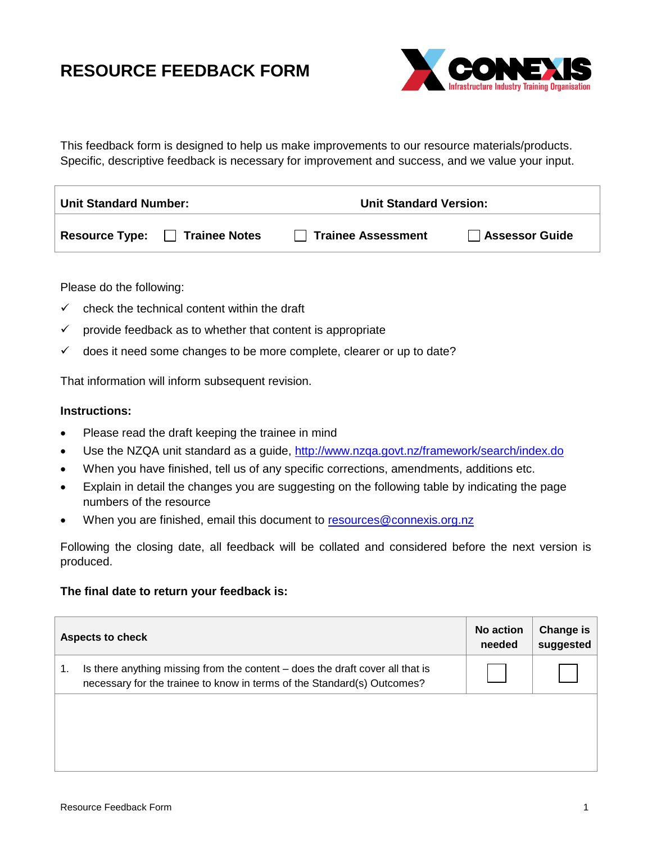## **RESOURCE FEEDBACK FORM**



This feedback form is designed to help us make improvements to our resource materials/products. Specific, descriptive feedback is necessary for improvement and success, and we value your input.

| <b>Unit Standard Number:</b> |                      | <b>Unit Standard Version:</b> |                       |  |
|------------------------------|----------------------|-------------------------------|-----------------------|--|
| <b>Resource Type:</b>        | <b>Trainee Notes</b> | Trainee Assessment            | <b>Assessor Guide</b> |  |

Please do the following:

- $\checkmark$  check the technical content within the draft
- $\checkmark$  provide feedback as to whether that content is appropriate
- ✓ does it need some changes to be more complete, clearer or up to date?

That information will inform subsequent revision.

## **Instructions:**

- Please read the draft keeping the trainee in mind
- Use the NZQA unit standard as a guide,<http://www.nzqa.govt.nz/framework/search/index.do>
- When you have finished, tell us of any specific corrections, amendments, additions etc.
- Explain in detail the changes you are suggesting on the following table by indicating the page numbers of the resource
- When you are finished, email this document to [resources@connexis.org.nz](mailto:resources@connexis.org.nz)

Following the closing date, all feedback will be collated and considered before the next version is produced.

## **The final date to return your feedback is:**

| <b>Aspects to check</b> |                                                                                                                                                          | No action<br>needed | Change is<br>suggested |
|-------------------------|----------------------------------------------------------------------------------------------------------------------------------------------------------|---------------------|------------------------|
| 1.                      | Is there anything missing from the content – does the draft cover all that is<br>necessary for the trainee to know in terms of the Standard(s) Outcomes? |                     |                        |
|                         |                                                                                                                                                          |                     |                        |
|                         |                                                                                                                                                          |                     |                        |